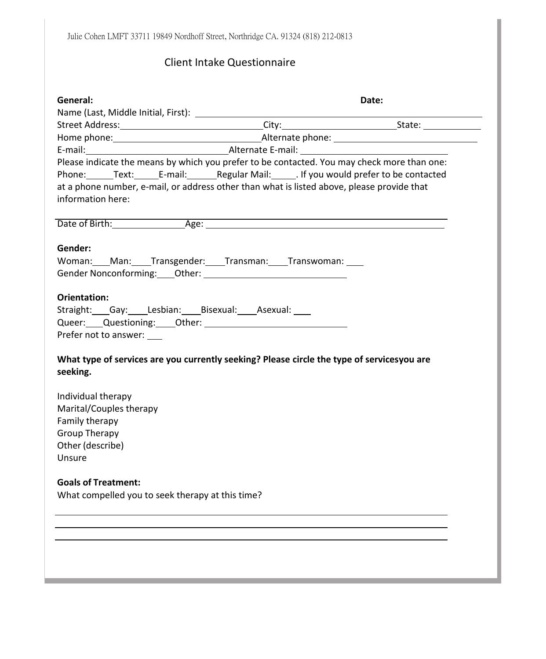# Client Intake Questionnaire

| Please indicate the means by which you prefer to be contacted. You may check more than one:<br>Phone: Text: E-mail: Regular Mail: If you would prefer to be contacted<br>at a phone number, e-mail, or address other than what is listed above, please provide that<br>Date of Birth: Age: Age: |                                            |
|-------------------------------------------------------------------------------------------------------------------------------------------------------------------------------------------------------------------------------------------------------------------------------------------------|--------------------------------------------|
|                                                                                                                                                                                                                                                                                                 |                                            |
|                                                                                                                                                                                                                                                                                                 |                                            |
|                                                                                                                                                                                                                                                                                                 |                                            |
|                                                                                                                                                                                                                                                                                                 |                                            |
|                                                                                                                                                                                                                                                                                                 |                                            |
|                                                                                                                                                                                                                                                                                                 |                                            |
|                                                                                                                                                                                                                                                                                                 |                                            |
| Woman: ___ Man: ____ Transgender: ____ Transman: ____ Transwoman: ____                                                                                                                                                                                                                          |                                            |
| What type of services are you currently seeking? Please circle the type of servicesyou are                                                                                                                                                                                                      |                                            |
|                                                                                                                                                                                                                                                                                                 |                                            |
|                                                                                                                                                                                                                                                                                                 |                                            |
|                                                                                                                                                                                                                                                                                                 |                                            |
|                                                                                                                                                                                                                                                                                                 |                                            |
|                                                                                                                                                                                                                                                                                                 |                                            |
|                                                                                                                                                                                                                                                                                                 | Straight: Gay: Lesbian: Bisexual: Asexual: |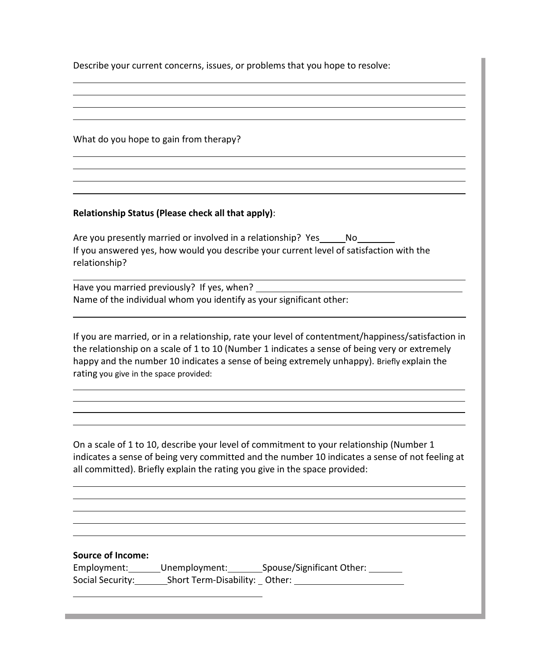Describe your current concerns, issues, or problems that you hope to resolve:

What do you hope to gain from therapy?

#### **Relationship Status (Please check all that apply)**:

Are you presently married or involved in a relationship? Yes \_\_\_\_\_\_ No If you answered yes, how would you describe your current level of satisfaction with the relationship?

Have you married previously? If yes, when? Name of the individual whom you identify as your significant other:

If you are married, or in a relationship, rate your level of contentment/happiness/satisfaction in the relationship on a scale of 1 to 10 (Number 1 indicates a sense of being very or extremely happy and the number 10 indicates a sense of being extremely unhappy). Briefly explain the rating you give in the space provided:

On a scale of 1 to 10, describe your level of commitment to your relationship (Number 1 indicates a sense of being very committed and the number 10 indicates a sense of not feeling at all committed). Briefly explain the rating you give in the space provided:

#### **Source of Income:**

| Employment:      | Unemployment:                 | Spouse/Significant Other: |  |
|------------------|-------------------------------|---------------------------|--|
| Social Security: | Short Term-Disability: Other: |                           |  |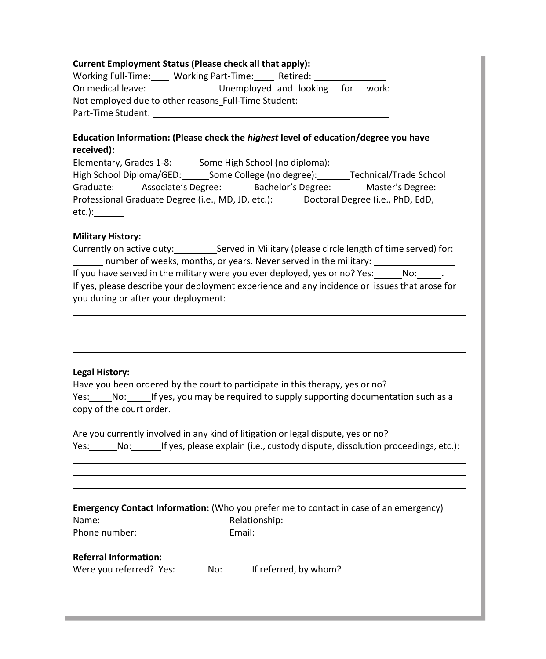## **Current Employment Status (Please check all that apply):**

| <b>Working Full-Time:</b> | <b>Working Part-Time:</b>                            | Retired:               |     |       |
|---------------------------|------------------------------------------------------|------------------------|-----|-------|
| On medical leave:         |                                                      | Unemployed and looking | for | work: |
|                           | Not employed due to other reasons Full-Time Student: |                        |     |       |
| Part-Time Student:        |                                                      |                        |     |       |

## **Education Information: (Please check the** *highest* **level of education/degree you have received):**

| Elementary, Grades 1-8:  |                                                    | Some High School (no diploma): |                    |                                  |
|--------------------------|----------------------------------------------------|--------------------------------|--------------------|----------------------------------|
| High School Diploma/GED: |                                                    | Some College (no degree):      |                    | <b>Technical/Trade School</b>    |
|                          | Graduate: Associate's Degree:                      |                                | Bachelor's Degree: | Master's Degree:                 |
|                          | Professional Graduate Degree (i.e., MD, JD, etc.): |                                |                    | Doctoral Degree (i.e., PhD, EdD, |
| $etc.$ ):                |                                                    |                                |                    |                                  |

### **Military History:**

Currently on active duty: Served in Military (please circle length of time served) for: number of weeks, months, or years. Never served in the military: If you have served in the military were you ever deployed, yes or no? Yes:  $\overline{\hspace{1cm}}$  No:  $\overline{\hspace{1cm}}$ . If yes, please describe your deployment experience and any incidence or issues that arose for you during or after your deployment:

### **Legal History:**

|  | Have you been ordered by the court to participate in this therapy, yes or no?     |
|--|-----------------------------------------------------------------------------------|
|  | Yes: No: If yes, you may be required to supply supporting documentation such as a |
|  | copy of the court order.                                                          |

|      |     | Are you currently involved in any kind of litigation or legal dispute, yes or no? |  |
|------|-----|-----------------------------------------------------------------------------------|--|
| Yes: | No: | If yes, please explain (i.e., custody dispute, dissolution proceedings, etc.):    |  |

|            | <b>Emergency Contact Information:</b> (Who you prefer me to contact in case of an emergency) |
|------------|----------------------------------------------------------------------------------------------|
| $N \sim 2$ | Dolationship:                                                                                |

| ivality.      | Relationship. |
|---------------|---------------|
| Phone number: | $- - -$       |
|               |               |

### **Referral Information:**

Were you referred? Yes: \_\_\_\_\_\_\_ No: \_\_\_\_\_\_ If referred, by whom?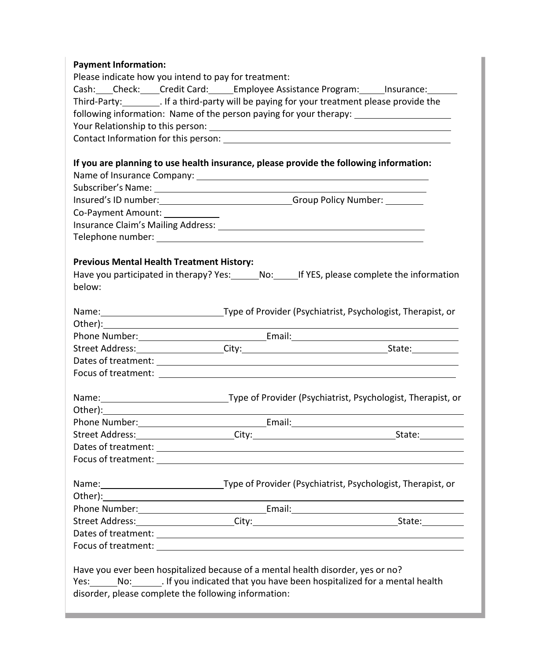## **Payment Information:**

| i ayıncın illivinlativin.                            |                                                                                                                |  |
|------------------------------------------------------|----------------------------------------------------------------------------------------------------------------|--|
| Please indicate how you intend to pay for treatment: |                                                                                                                |  |
|                                                      | Cash: Check: Credit Card: Employee Assistance Program: Insurance: Cash: Check:                                 |  |
|                                                      | Third-Party:__________. If a third-party will be paying for your treatment please provide the                  |  |
|                                                      | following information: Name of the person paying for your therapy: ______________                              |  |
|                                                      |                                                                                                                |  |
|                                                      | Contact Information for this person: National Contract Information of the Contract Information of the Contract |  |
|                                                      |                                                                                                                |  |
|                                                      | If you are planning to use health insurance, please provide the following information:                         |  |
|                                                      |                                                                                                                |  |
|                                                      |                                                                                                                |  |
|                                                      |                                                                                                                |  |
| Co-Payment Amount:                                   |                                                                                                                |  |
|                                                      |                                                                                                                |  |
|                                                      |                                                                                                                |  |
|                                                      |                                                                                                                |  |
| <b>Previous Mental Health Treatment History:</b>     |                                                                                                                |  |
|                                                      | Have you participated in therapy? Yes: No: If YES, please complete the information                             |  |
| below:                                               |                                                                                                                |  |
|                                                      |                                                                                                                |  |
|                                                      | Name: 1993 Mame: 1998 Mame: 1998 Mame: 1998 Mame: 1998 Mame: 1998 Mame: 1998 Mame: 1998 Mame: 1998 Mame: 1998  |  |
|                                                      |                                                                                                                |  |
|                                                      |                                                                                                                |  |
|                                                      |                                                                                                                |  |
|                                                      |                                                                                                                |  |
|                                                      |                                                                                                                |  |
|                                                      |                                                                                                                |  |
|                                                      | Name: 1993 Mame: 1998 Mame: 1998 Mame: 1998 Mame: 1998 Mame: 1998 Mame: 1998 Mame: 1998 Mame: 1998 M           |  |
|                                                      |                                                                                                                |  |
|                                                      |                                                                                                                |  |
|                                                      |                                                                                                                |  |
|                                                      |                                                                                                                |  |
|                                                      |                                                                                                                |  |
|                                                      |                                                                                                                |  |
|                                                      |                                                                                                                |  |
|                                                      |                                                                                                                |  |
|                                                      | Name: 1993 Mame: 1998 Mame: 1998 Mame: 1998 Mame: 1998 Mame: 1998 Mame: 1998 Mame: 1998 Mame: 1998 M           |  |
|                                                      |                                                                                                                |  |
|                                                      |                                                                                                                |  |
|                                                      |                                                                                                                |  |
|                                                      |                                                                                                                |  |

Have you ever been hospitalized because of a mental health disorder, yes or no? Yes: \_\_\_\_\_\_\_No: \_\_\_\_\_\_\_\_. If you indicated that you have been hospitalized for a mental health disorder, please complete the following information: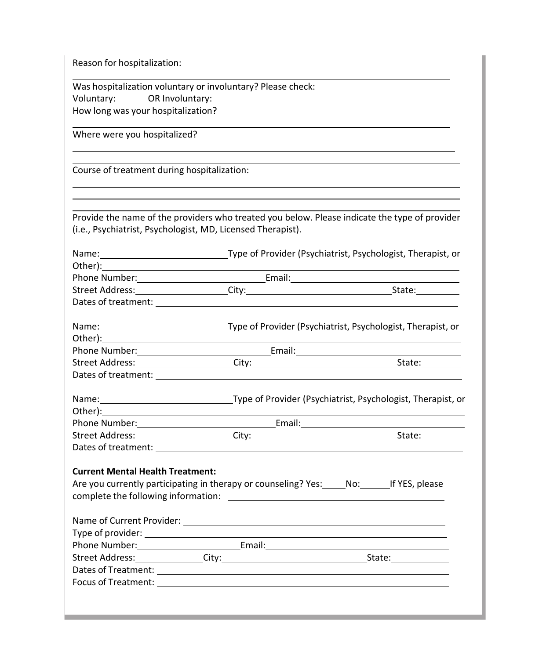Reason for hospitalization:

| Was hospitalization voluntary or involuntary? Please check: |  |
|-------------------------------------------------------------|--|
| Voluntary: OR Involuntary:                                  |  |
| How long was your hospitalization?                          |  |

Where were you hospitalized?

Course of treatment during hospitalization:

Provide the name of the providers who treated you below. Please indicate the type of provider (i.e., Psychiatrist, Psychologist, MD, Licensed Therapist).

|                                                                                                | Name: 1990 [19] Type of Provider (Psychiatrist, Psychologist, Therapist, or                                   |
|------------------------------------------------------------------------------------------------|---------------------------------------------------------------------------------------------------------------|
|                                                                                                |                                                                                                               |
|                                                                                                |                                                                                                               |
|                                                                                                |                                                                                                               |
|                                                                                                |                                                                                                               |
|                                                                                                | Name: 1990 Mame: 1990 Mame: 1990 Mame: 1990 Mame: 1990 Mame: 1990 Mame: 1990 Mame: 1990 Mame: 1990 Mame: 1990 |
|                                                                                                |                                                                                                               |
|                                                                                                |                                                                                                               |
|                                                                                                |                                                                                                               |
|                                                                                                |                                                                                                               |
|                                                                                                | Name: 1990 Mame: 1990 Mame: 1990 Mame: 1990 Mame: 1990 Mame: 1990 Mame: 1990 Mame: 1990 Mame: 1990 Mame: 1990 |
|                                                                                                |                                                                                                               |
|                                                                                                |                                                                                                               |
|                                                                                                |                                                                                                               |
|                                                                                                |                                                                                                               |
| <b>Current Mental Health Treatment:</b>                                                        |                                                                                                               |
| Are you currently participating in therapy or counseling? Yes: _____No: _______ If YES, please |                                                                                                               |
|                                                                                                |                                                                                                               |
|                                                                                                |                                                                                                               |
|                                                                                                |                                                                                                               |
|                                                                                                |                                                                                                               |
|                                                                                                |                                                                                                               |
|                                                                                                |                                                                                                               |
|                                                                                                |                                                                                                               |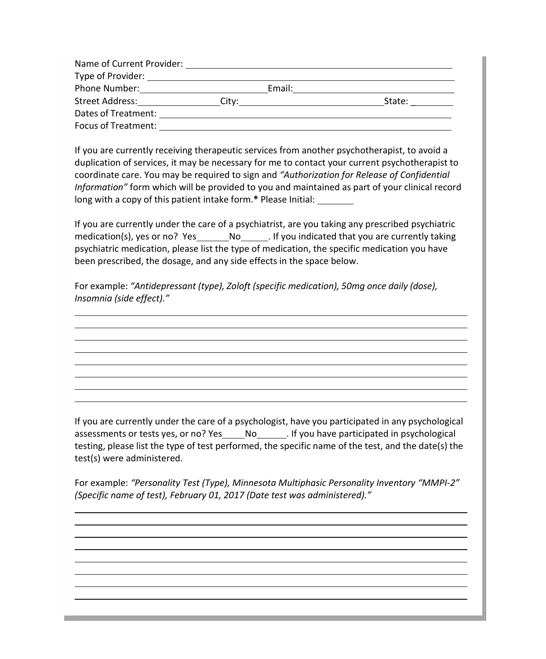| Name of Current Provider: |       |        |        |
|---------------------------|-------|--------|--------|
|                           |       |        |        |
| Phone Number:             |       | Email: |        |
| Street Address:           | City: |        | State: |
| Dates of Treatment:       |       |        |        |
| Focus of Treatment:       |       |        |        |

If you are currently receiving therapeutic services from another psychotherapist, to avoid a duplication of services, it may be necessary for me to contact your current psychotherapist to coordinate care. You may be required to sign and *"Authorization for Release of Confidential Information"* form which will be provided to you and maintained as part of your clinical record long with a copy of this patient intake form.**\*** Please Initial:

If you are currently under the care of a psychiatrist, are you taking any prescribed psychiatric medication(s), yes or no? Yes No . If you indicated that you are currently taking psychiatric medication, please list the type of medication, the specific medication you have been prescribed, the dosage, and any side effects in the space below.

For example: *"Antidepressant (type), Zoloft (specific medication), 50mg once daily (dose), Insomnia (side effect)."*

If you are currently under the care of a psychologist, have you participated in any psychological assessments or tests yes, or no? Yes \_\_\_\_\_ No \_\_\_\_\_\_\_. If you have participated in psychological testing, please list the type of test performed, the specific name of the test, and the date(s) the test(s) were administered.

For example: *"Personality Test (Type), Minnesota Multiphasic Personality Inventory "MMPI-2" (Specific name of test), February 01, 2017 (Date test was administered)."*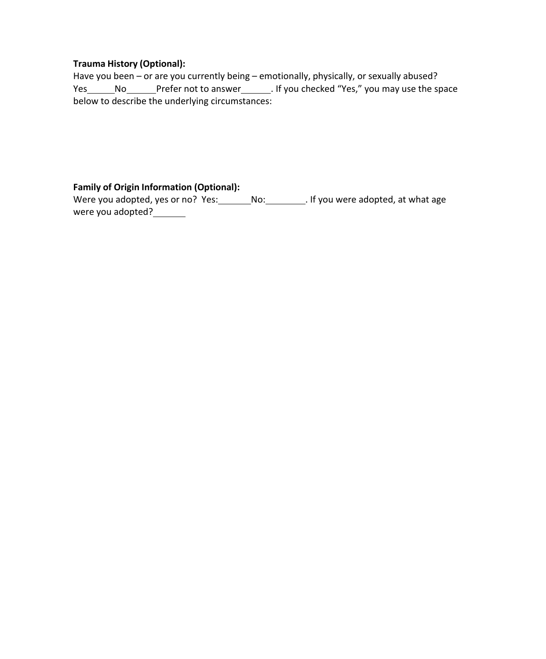## **Trauma History (Optional):**

Have you been – or are you currently being – emotionally, physically, or sexually abused? Yes \_\_\_\_\_\_No \_\_\_\_\_\_\_Prefer not to answer \_\_\_\_\_\_\_. If you checked "Yes," you may use the space below to describe the underlying circumstances:

**Family of Origin Information (Optional):**

Were you adopted, yes or no? Yes: \_\_\_\_\_\_\_\_No: \_\_\_\_\_\_\_\_\_. If you were adopted, at what age were you adopted?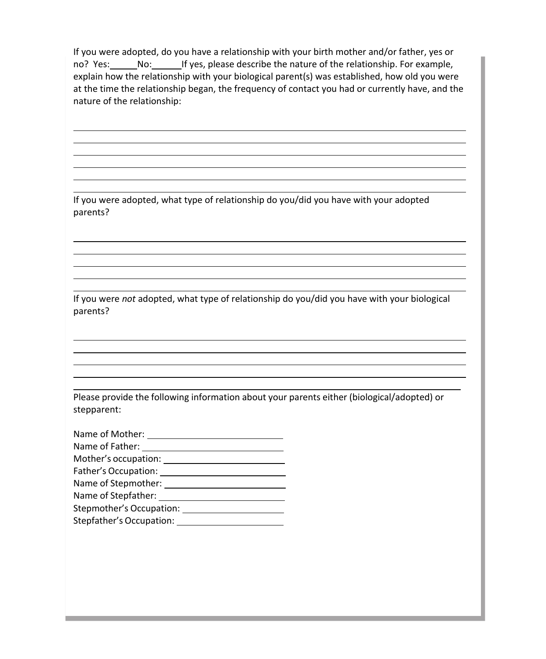If you were adopted, do you have a relationship with your birth mother and/or father, yes or no? Yes: No: If yes, please describe the nature of the relationship. For example, explain how the relationship with your biological parent(s) was established, how old you were at the time the relationship began, the frequency of contact you had or currently have, and the nature of the relationship:

<u> 1989 - Johann Stoff, deutscher Stoffen und der Stoffen und der Stoffen und der Stoffen und der Stoffen und de</u>

<u> 1989 - Johann Stoff, deutscher Stoffen und der Stoffen und der Stoffen und der Stoffen und der Stoffen und de</u>

<u> 1989 - Johann Stoff, Amerikaansk politiker († 1908)</u>

If you were adopted, what type of relationship do you/did you have with your adopted parents?

If you were *not* adopted, what type of relationship do you/did you have with your biological parents?

Please provide the following information about your parents either (biological/adopted) or stepparent:

| Name of Mother:          |
|--------------------------|
| Name of Father:          |
| Mother's occupation:     |
| Father's Occupation:     |
| Name of Stepmother:      |
| Name of Stepfather:      |
| Stepmother's Occupation: |
| Stepfather's Occupation: |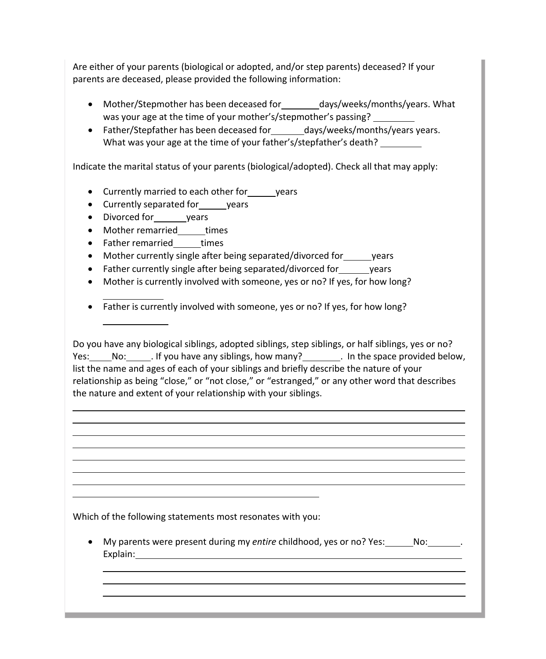Are either of your parents (biological or adopted, and/or step parents) deceased? If your parents are deceased, please provided the following information:

- Mother/Stepmother has been deceased for days/weeks/months/years. What was your age at the time of your mother's/stepmother's passing?
- Father/Stepfather has been deceased for \_\_\_\_\_ days/weeks/months/years vears. What was your age at the time of your father's/stepfather's death?

Indicate the marital status of your parents (biological/adopted). Check all that may apply:

- Currently married to each other for\_\_\_\_\_ years
- Currently separated for years
- Divorced for years
- Mother remarried \_\_\_\_\_times
- Father remarried times
- Mother currently single after being separated/divorced for years
- Father currently single after being separated/divorced for years
- Mother is currently involved with someone, yes or no? If yes, for how long?
- Father is currently involved with someone, yes or no? If yes, for how long?

Do you have any biological siblings, adopted siblings, step siblings, or half siblings, yes or no? Yes: No: . If you have any siblings, how many? . In the space provided below, list the name and ages of each of your siblings and briefly describe the nature of your relationship as being "close," or "not close," or "estranged," or any other word that describes the nature and extent of your relationship with your siblings.

Which of the following statements most resonates with you:

• My parents were present during my *entire* childhood, yes or no? Yes: No: . . . Explain: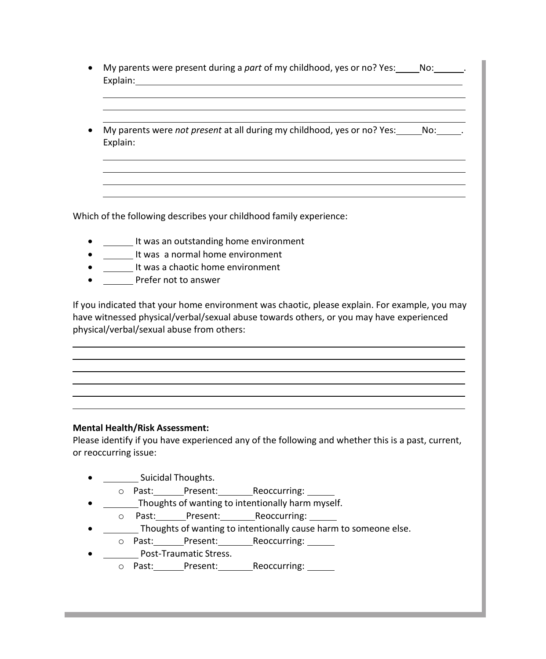| Explain: |  | My parents were <i>not present</i> at all during my childhood, yes or no? Yes: No: No: |  |
|----------|--|----------------------------------------------------------------------------------------|--|
|          |  |                                                                                        |  |

Which of the following describes your childhood family experience:

- It was an outstanding home environment
- It was a normal home environment
- **If was a chaotic home environment**
- Prefer not to answer

If you indicated that your home environment was chaotic, please explain. For example, you may have witnessed physical/verbal/sexual abuse towards others, or you may have experienced physical/verbal/sexual abuse from others:

### **Mental Health/Risk Assessment:**

Please identify if you have experienced any of the following and whether this is a past, current, or reoccurring issue:

- **Fig. 2.1.** Suicidal Thoughts.
	- o Past: Present: Reoccurring:
- Thoughts of wanting to intentionally harm myself.
- o Past: Present: Reoccurring:
- Thoughts of wanting to intentionally cause harm to someone else.
	- o Past: Present: Reoccurring:
- **Post-Traumatic Stress.** 
	- o Past: Present: Reoccurring: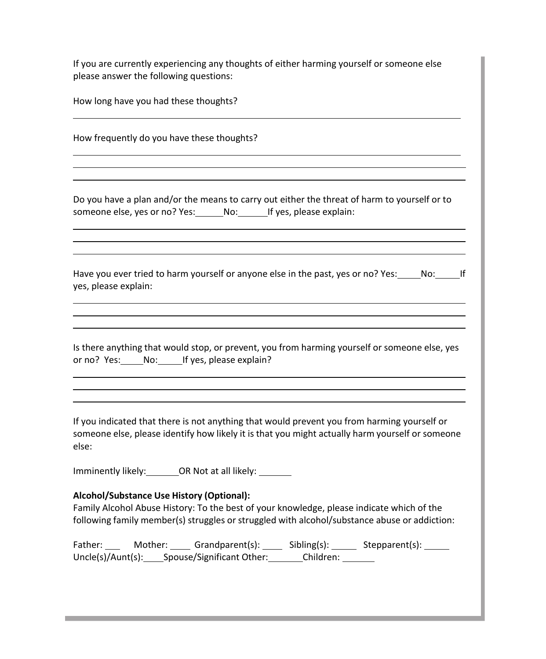If you are currently experiencing any thoughts of either harming yourself or someone else please answer the following questions:

| How long have you had these thoughts? |  |
|---------------------------------------|--|
|---------------------------------------|--|

| How frequently do you have these thoughts?                                                                                                                |  |
|-----------------------------------------------------------------------------------------------------------------------------------------------------------|--|
|                                                                                                                                                           |  |
| Do you have a plan and/or the means to carry out either the threat of harm to yourself or to<br>someone else, yes or no? Yes: No: If yes, please explain: |  |
|                                                                                                                                                           |  |

Have you ever tried to harm yourself or anyone else in the past, yes or no? Yes: No: If yes, please explain:

Is there anything that would stop, or prevent, you from harming yourself or someone else, yes or no? Yes: No: If yes, please explain?

If you indicated that there is not anything that would prevent you from harming yourself or someone else, please identify how likely it is that you might actually harm yourself or someone else:

Imminently likely: OR Not at all likely:

## **Alcohol/Substance Use History (Optional):**

Family Alcohol Abuse History: To the best of your knowledge, please indicate which of the following family member(s) struggles or struggled with alcohol/substance abuse or addiction:

Father: Mother: Grandparent(s): Sibling(s): Stepparent(s): Uncle(s)/Aunt(s): Spouse/Significant Other: Children: Children:

a sa kabila sa kasang sa kabilang sa mga bayang nagsang nagsang nagsang nagsang nagsang nagsang nagsang nagsan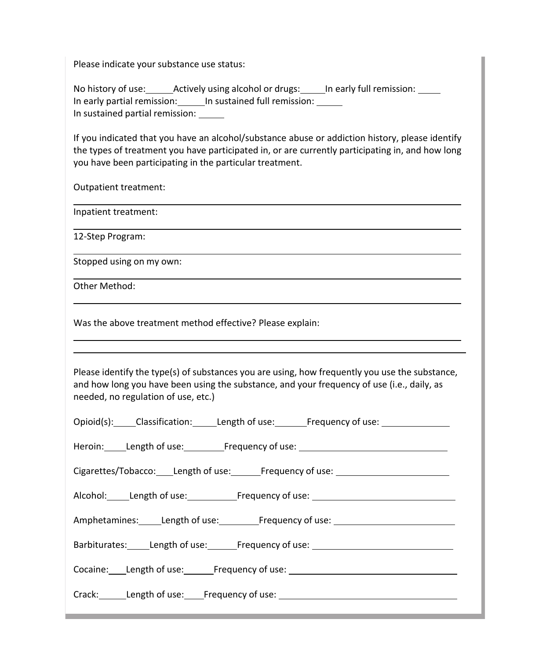Please indicate your substance use status:

No history of use: Actively using alcohol or drugs: In early full remission: 1897 In early partial remission: In sustained full remission: In sustained partial remission:

If you indicated that you have an alcohol/substance abuse or addiction history, please identify the types of treatment you have participated in, or are currently participating in, and how long you have been participating in the particular treatment.

Outpatient treatment:

Inpatient treatment:

12-Step Program:

Stopped using on my own:

Other Method:

Was the above treatment method effective? Please explain:

Please identify the type(s) of substances you are using, how frequently you use the substance, and how long you have been using the substance, and your frequency of use (i.e., daily, as needed, no regulation of use, etc.)

| Opioid(s): Classification: Length of use: Frequency of use:                                                    |
|----------------------------------------------------------------------------------------------------------------|
| Heroin: Length of use: Frequency of use: 1992 Length of use: Neroin: 1993                                      |
| Cigarettes/Tobacco: Length of use: Frequency of use: Cigarettes/Tobacco: Length of use:                        |
|                                                                                                                |
| Amphetamines: Length of use: Frequency of use: 1990 Length Control of use and the Amphetamines: 1990           |
| Barbiturates: Length of use: Frequency of use: 1990 Length Carolina Barbiturates: 1991                         |
| Cocaine: Length of use: Frequency of use: 1992 Manuson Manuson Manuson Manuson Manuson Manuson Manuson Manuson |
| Crack: Length of use: Frequency of use: Crack: Length of use:                                                  |
|                                                                                                                |